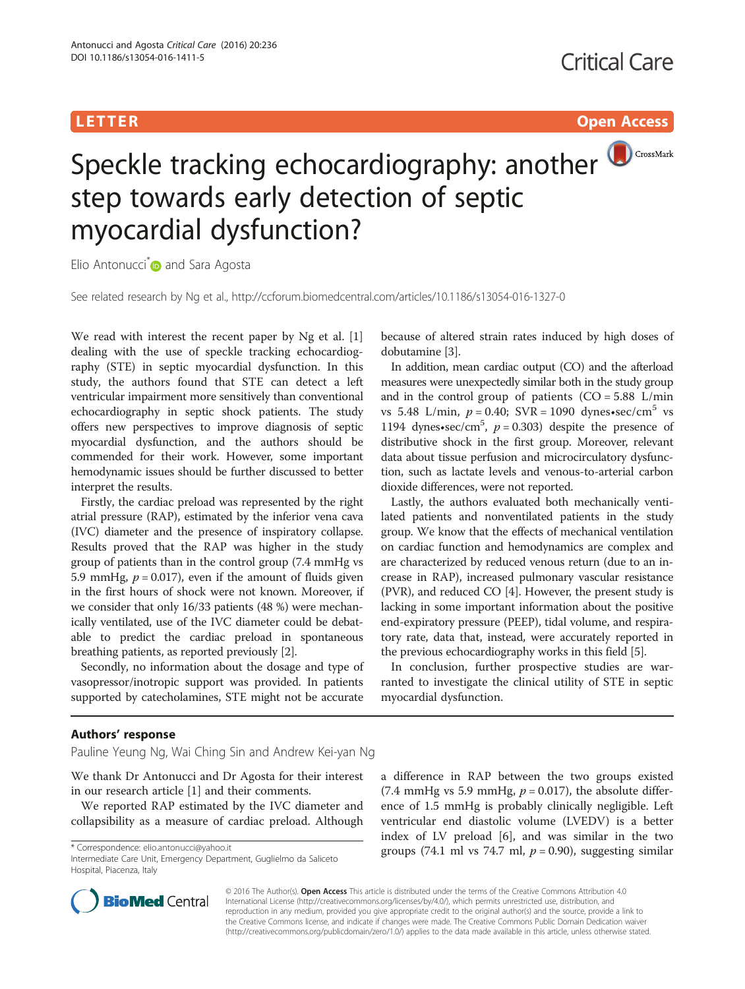# **LETTER CONSTRUCTION CONSTRUCTION**



Speckle tracking echocardiography: another step towards early detection of septic myocardial dysfunction?

Elio Antonucci<sup>[\\*](http://orcid.org/0000-0002-3026-5494)</sup> and Sara Agosta

See related research by Ng et al.,<http://ccforum.biomedcentral.com/articles/10.1186/s13054-016-1327-0>

We read with interest the recent paper by Ng et al. [\[1](#page-1-0)] dealing with the use of speckle tracking echocardiography (STE) in septic myocardial dysfunction. In this study, the authors found that STE can detect a left ventricular impairment more sensitively than conventional echocardiography in septic shock patients. The study offers new perspectives to improve diagnosis of septic myocardial dysfunction, and the authors should be commended for their work. However, some important hemodynamic issues should be further discussed to better interpret the results.

Firstly, the cardiac preload was represented by the right atrial pressure (RAP), estimated by the inferior vena cava (IVC) diameter and the presence of inspiratory collapse. Results proved that the RAP was higher in the study group of patients than in the control group (7.4 mmHg vs 5.9 mmHg,  $p = 0.017$ ), even if the amount of fluids given in the first hours of shock were not known. Moreover, if we consider that only 16/33 patients (48 %) were mechanically ventilated, use of the IVC diameter could be debatable to predict the cardiac preload in spontaneous breathing patients, as reported previously [[2](#page-1-0)].

Secondly, no information about the dosage and type of vasopressor/inotropic support was provided. In patients supported by catecholamines, STE might not be accurate because of altered strain rates induced by high doses of dobutamine [\[3](#page-1-0)].

In addition, mean cardiac output (CO) and the afterload measures were unexpectedly similar both in the study group and in the control group of patients  $(CO = 5.88$  L/min vs 5.48 L/min,  $p = 0.40$ ; SVR = 1090 dynes•sec/cm<sup>5</sup> vs 1194 dynes•sec/cm<sup>5</sup>,  $p = 0.303$ ) despite the presence of distributive shock in the first group. Moreover, relevant data about tissue perfusion and microcirculatory dysfunction, such as lactate levels and venous-to-arterial carbon dioxide differences, were not reported.

Lastly, the authors evaluated both mechanically ventilated patients and nonventilated patients in the study group. We know that the effects of mechanical ventilation on cardiac function and hemodynamics are complex and are characterized by reduced venous return (due to an increase in RAP), increased pulmonary vascular resistance (PVR), and reduced CO [[4\]](#page-1-0). However, the present study is lacking in some important information about the positive end-expiratory pressure (PEEP), tidal volume, and respiratory rate, data that, instead, were accurately reported in the previous echocardiography works in this field [\[5](#page-1-0)].

In conclusion, further prospective studies are warranted to investigate the clinical utility of STE in septic myocardial dysfunction.

## Authors' response

Pauline Yeung Ng, Wai Ching Sin and Andrew Kei-yan Ng

We thank Dr Antonucci and Dr Agosta for their interest in our research article [[1\]](#page-1-0) and their comments.

We reported RAP estimated by the IVC diameter and collapsibility as a measure of cardiac preload. Although

Intermediate Care Unit, Emergency Department, Guglielmo da Saliceto Hospital, Piacenza, Italy



© 2016 The Author(s). Open Access This article is distributed under the terms of the Creative Commons Attribution 4.0 International License [\(http://creativecommons.org/licenses/by/4.0/](http://creativecommons.org/licenses/by/4.0/)), which permits unrestricted use, distribution, and reproduction in any medium, provided you give appropriate credit to the original author(s) and the source, provide a link to the Creative Commons license, and indicate if changes were made. The Creative Commons Public Domain Dedication waiver [\(http://creativecommons.org/publicdomain/zero/1.0/](http://creativecommons.org/publicdomain/zero/1.0/)) applies to the data made available in this article, unless otherwise stated.